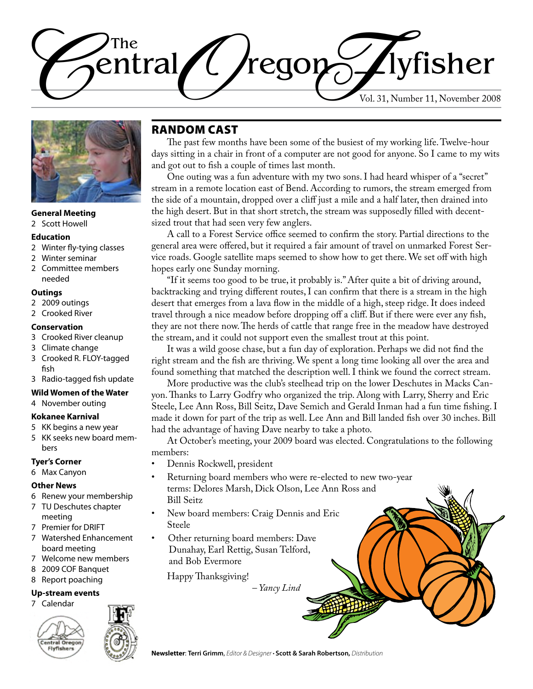



#### **General Meeting**

2 Scott Howell

#### **Education**

- 2 Winter fly-tying classes
- 2 Winter seminar
- 2 Committee members needed

#### **Outings**

- 2 2009 outings
- 2 Crooked River

#### **Conservation**

- 3 Crooked River cleanup
- 3 Climate change
- 3 Crooked R. FLOY-tagged fish
- 3 Radio-tagged fish update

#### **Wild Women of the Water**

4 November outing

#### **Kokanee Karnival**

5 KK begins a new year 5 KK seeks new board members

### **Tyer's Corner**

6 Max Canyon

#### **Other News**

- 6 Renew your membership
- 7 TU Deschutes chapter meeting
- 7 Premier for DRIFT
- 7 Watershed Enhancement board meeting
- 7 Welcome new members
- 8 2009 COF Banquet
- 8 Report poaching

### **Up-stream events**

7 Calendar



## Random Cast

The past few months have been some of the busiest of my working life. Twelve-hour days sitting in a chair in front of a computer are not good for anyone. So I came to my wits and got out to fish a couple of times last month.

One outing was a fun adventure with my two sons. I had heard whisper of a "secret" stream in a remote location east of Bend. According to rumors, the stream emerged from the side of a mountain, dropped over a cliff just a mile and a half later, then drained into the high desert. But in that short stretch, the stream was supposedly filled with decentsized trout that had seen very few anglers.

A call to a Forest Service office seemed to confirm the story. Partial directions to the general area were offered, but it required a fair amount of travel on unmarked Forest Service roads. Google satellite maps seemed to show how to get there. We set off with high hopes early one Sunday morning.

"If it seems too good to be true, it probably is." After quite a bit of driving around, backtracking and trying different routes, I can confirm that there is a stream in the high desert that emerges from a lava flow in the middle of a high, steep ridge. It does indeed travel through a nice meadow before dropping off a cliff. But if there were ever any fish, they are not there now. The herds of cattle that range free in the meadow have destroyed the stream, and it could not support even the smallest trout at this point.

It was a wild goose chase, but a fun day of exploration. Perhaps we did not find the right stream and the fish are thriving. We spent a long time looking all over the area and found something that matched the description well. I think we found the correct stream.

More productive was the club's steelhead trip on the lower Deschutes in Macks Canyon. Thanks to Larry Godfry who organized the trip. Along with Larry, Sherry and Eric Steele, Lee Ann Ross, Bill Seitz, Dave Semich and Gerald Inman had a fun time fishing. I made it down for part of the trip as well. Lee Ann and Bill landed fish over 30 inches. Bill had the advantage of having Dave nearby to take a photo.

At October's meeting, your 2009 board was elected. Congratulations to the following members:

- Dennis Rockwell, president
- Returning board members who were re-elected to new two-year terms: Delores Marsh, Dick Olson, Lee Ann Ross and Bill Seitz
- New board members: Craig Dennis and Eric Steele
- Other returning board members: Dave Dunahay, Earl Rettig, Susan Telford, and Bob Evermore

Happy Thanksgiving!

*– Yancy Lind*

**Newsletter**: **Terri Grimm**, *Editor & Designer •* **Scott & Sarah Robertson,** *Distribution*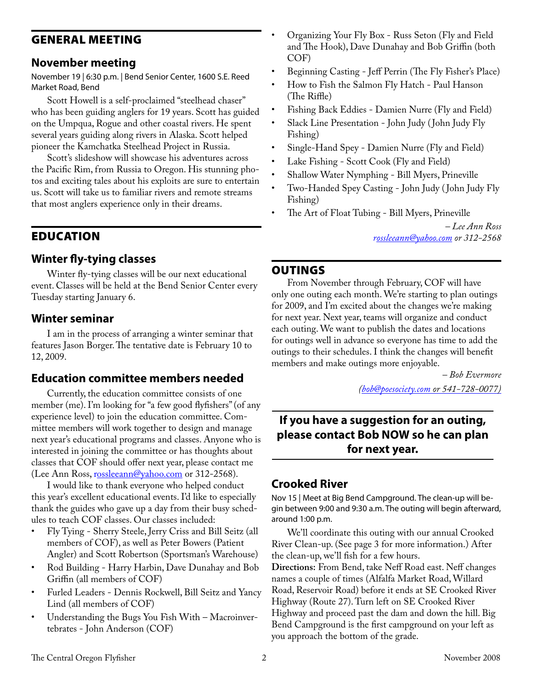## General Meeting

## **November meeting**

November 19 | 6:30 p.m. | Bend Senior Center, 1600 S.E. Reed Market Road, Bend

Scott Howell is a self-proclaimed "steelhead chaser" who has been guiding anglers for 19 years. Scott has guided on the Umpqua, Rogue and other coastal rivers. He spent several years guiding along rivers in Alaska. Scott helped pioneer the Kamchatka Steelhead Project in Russia.

Scott's slideshow will showcase his adventures across the Pacific Rim, from Russia to Oregon. His stunning photos and exciting tales about his exploits are sure to entertain us. Scott will take us to familiar rivers and remote streams that most anglers experience only in their dreams.

## **EDUCATION**

## **Winter fly-tying classes**

Winter fly-tying classes will be our next educational event. Classes will be held at the Bend Senior Center every Tuesday starting January 6.

## **Winter seminar**

I am in the process of arranging a winter seminar that features Jason Borger. The tentative date is February 10 to 12, 2009.

## **Education committee members needed**

Currently, the education committee consists of one member (me). I'm looking for "a few good flyfishers" (of any experience level) to join the education committee. Committee members will work together to design and manage next year's educational programs and classes. Anyone who is interested in joining the committee or has thoughts about classes that COF should offer next year, please contact me (Lee Ann Ross, [rossleeann@yahoo.com](mailto:rossleeann@yahoo.com) or 312-2568).

I would like to thank everyone who helped conduct this year's excellent educational events. I'd like to especially thank the guides who gave up a day from their busy schedules to teach COF classes. Our classes included:

- Fly Tying Sherry Steele, Jerry Criss and Bill Seitz (all members of COF), as well as Peter Bowers (Patient Angler) and Scott Robertson (Sportsman's Warehouse)
- Rod Building Harry Harbin, Dave Dunahay and Bob Griffin (all members of COF)
- Furled Leaders Dennis Rockwell, Bill Seitz and Yancy Lind (all members of COF)
- Understanding the Bugs You Fish With Macroinvertebrates - John Anderson (COF)
- Organizing Your Fly Box Russ Seton (Fly and Field and The Hook), Dave Dunahay and Bob Griffin (both COF)
- Beginning Casting Jeff Perrin (The Fly Fisher's Place)
- How to Fish the Salmon Fly Hatch Paul Hanson (The Riffle)
- Fishing Back Eddies Damien Nurre (Fly and Field)
- Slack Line Presentation John Judy ( John Judy Fly Fishing)
- Single-Hand Spey Damien Nurre (Fly and Field)
- Lake Fishing Scott Cook (Fly and Field)
- Shallow Water Nymphing Bill Myers, Prineville
- Two-Handed Spey Casting John Judy ( John Judy Fly Fishing)
- The Art of Float Tubing Bill Myers, Prineville

*– Lee Ann Ross r[ossleeann@yahoo.com](mailto:rossleeann@yahoo.com) or 312‑2568*

## **OUTINGS**

From November through February, COF will have only one outing each month. We're starting to plan outings for 2009, and I'm excited about the changes we're making for next year. Next year, teams will organize and conduct each outing. We want to publish the dates and locations for outings well in advance so everyone has time to add the outings to their schedules. I think the changes will benefit members and make outings more enjoyable.

> *– Bob Evermore ([bob@poesociety.com](mailto:bob@poesociety.com) or 541-728-0077)*

## **If you have a suggestion for an outing, please contact Bob NOW so he can plan for next year.**

## **Crooked River**

Nov 15 | Meet at Big Bend Campground. The clean-up will begin between 9:00 and 9:30 a.m. The outing will begin afterward, around 1:00 p.m.

We'll coordinate this outing with our annual Crooked River Clean-up. (See page 3 for more information.) After the clean-up, we'll fish for a few hours.

**Directions:** From Bend, take Neff Road east. Neff changes names a couple of times (Alfalfa Market Road, Willard Road, Reservoir Road) before it ends at SE Crooked River Highway (Route 27). Turn left on SE Crooked River Highway and proceed past the dam and down the hill. Big Bend Campground is the first campground on your left as you approach the bottom of the grade.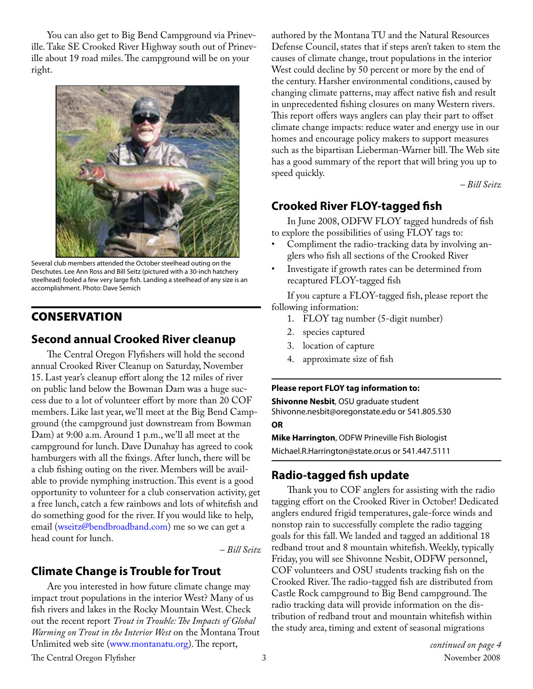You can also get to Big Bend Campground via Prineville. Take SE Crooked River Highway south out of Prineville about 19 road miles. The campground will be on your right.



Several club members attended the October steelhead outing on the Deschutes. Lee Ann Ross and Bill Seitz (pictured with a 30-inch hatchery steelhead) fooled a few very large fish. Landing a steelhead of any size is an accomplishment. Photo: Dave Semich

## **CONSERVATION**

## **Second annual Crooked River cleanup**

The Central Oregon Flyfishers will hold the second annual Crooked River Cleanup on Saturday, November 15. Last year's cleanup effort along the 12 miles of river on public land below the Bowman Dam was a huge success due to a lot of volunteer effort by more than 20 COF members. Like last year, we'll meet at the Big Bend Campground (the campground just downstream from Bowman Dam) at 9:00 a.m. Around 1 p.m., we'll all meet at the campground for lunch. Dave Dunahay has agreed to cook hamburgers with all the fixings. After lunch, there will be a club fishing outing on the river. Members will be available to provide nymphing instruction. This event is a good opportunity to volunteer for a club conservation activity, get a free lunch, catch a few rainbows and lots of whitefish and do something good for the river. If you would like to help, email (wseitz@bendbroadband.com) me so we can get a head count for lunch.

*– Bill Seitz*

## **Climate Change is Trouble for Trout**

Are you interested in how future climate change may impact trout populations in the interior West? Many of us fish rivers and lakes in the Rocky Mountain West. Check out the recent report *Trout in Trouble: The Impacts of Global Warming on Trout in the Interior West* on the Montana Trout Unlimited web site [\(www.montanatu.org](www.montanatu.org)). The report,

authored by the Montana TU and the Natural Resources Defense Council, states that if steps aren't taken to stem the causes of climate change, trout populations in the interior West could decline by 50 percent or more by the end of the century. Harsher environmental conditions, caused by changing climate patterns, may affect native fish and result in unprecedented fishing closures on many Western rivers. This report offers ways anglers can play their part to offset climate change impacts: reduce water and energy use in our homes and encourage policy makers to support measures such as the bipartisan Lieberman-Warner bill. The Web site has a good summary of the report that will bring you up to speed quickly.

*– Bill Seitz*

## **Crooked River FLOY-tagged fish**

In June 2008, ODFW FLOY tagged hundreds of fish to explore the possibilities of using FLOY tags to:

- Compliment the radio-tracking data by involving anglers who fish all sections of the Crooked River
- Investigate if growth rates can be determined from recaptured FLOY-tagged fish

If you capture a FLOY-tagged fish, please report the following information:

- 1. FLOY tag number (5-digit number)
- 2. species captured
- 3. location of capture
- 4. approximate size of fish

#### **Please report FLOY tag information to:**

**Shivonne Nesbit**, OSU graduate student Shivonne.nesbit@oregonstate.edu or 541.805.530 **OR**

**Mike Harrington**, ODFW Prineville Fish Biologist Michael.R.Harrington@state.or.us or 541.447.5111

## **Radio-tagged fish update**

Thank you to COF anglers for assisting with the radio tagging effort on the Crooked River in October! Dedicated anglers endured frigid temperatures, gale-force winds and nonstop rain to successfully complete the radio tagging goals for this fall. We landed and tagged an additional 18 redband trout and 8 mountain whitefish. Weekly, typically Friday, you will see Shivonne Nesbit, ODFW personnel, COF volunteers and OSU students tracking fish on the Crooked River. The radio-tagged fish are distributed from Castle Rock campground to Big Bend campground. The radio tracking data will provide information on the distribution of redband trout and mountain whitefish within the study area, timing and extent of seasonal migrations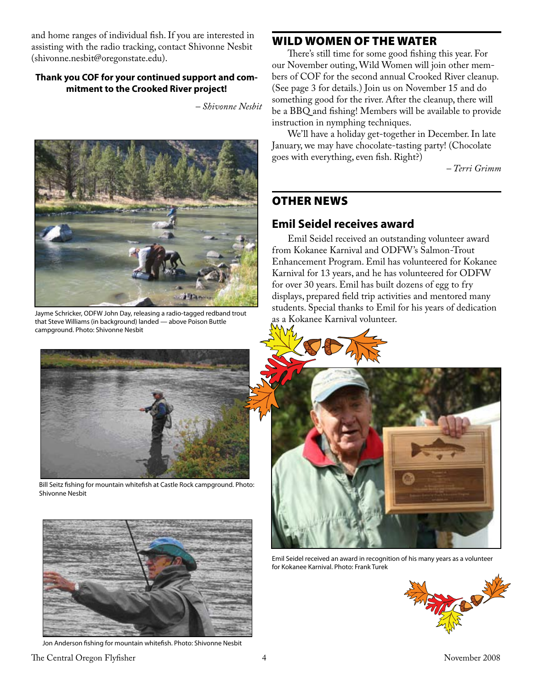and home ranges of individual fish. If you are interested in assisting with the radio tracking, contact Shivonne Nesbit (shivonne.nesbit@oregonstate.edu).

#### **Thank you COF for your continued support and commitment to the Crooked River project!**

*– Shivonne Nesbit*



Jayme Schricker, ODFW John Day, releasing a radio-tagged redband trout that Steve Williams (in background) landed — above Poison Buttle campground. Photo: Shivonne Nesbit



Bill Seitz fishing for mountain whitefish at Castle Rock campground. Photo: Shivonne Nesbit



Jon Anderson fishing for mountain whitefish. Photo: Shivonne Nesbit

## Wild Women of the Water

There's still time for some good fishing this year. For our November outing, Wild Women will join other members of COF for the second annual Crooked River cleanup. (See page 3 for details.) Join us on November 15 and do something good for the river. After the cleanup, there will be a BBQ and fishing! Members will be available to provide instruction in nymphing techniques.

We'll have a holiday get-together in December. In late January, we may have chocolate-tasting party! (Chocolate goes with everything, even fish. Right?)

*– Terri Grimm*

## Other news

## **Emil Seidel receives award**

Emil Seidel received an outstanding volunteer award from Kokanee Karnival and ODFW's Salmon-Trout Enhancement Program. Emil has volunteered for Kokanee Karnival for 13 years, and he has volunteered for ODFW for over 30 years. Emil has built dozens of egg to fry displays, prepared field trip activities and mentored many students. Special thanks to Emil for his years of dedication





Emil Seidel received an award in recognition of his many years as a volunteer for Kokanee Karnival. Photo: Frank Turek



The Central Oregon Flyfisher 1998 and 2008 the Central Oregon Flyfisher 1998 and 2008 and 2008 and 2008 and 2008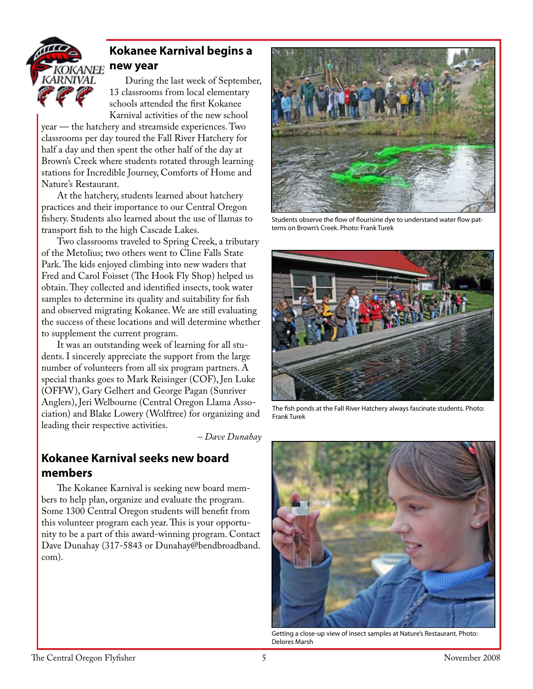

## **Kokanee Karnival begins a new year**

During the last week of September, 13 classrooms from local elementary schools attended the first Kokanee Karnival activities of the new school

year — the hatchery and streamside experiences. Two classrooms per day toured the Fall River Hatchery for half a day and then spent the other half of the day at Brown's Creek where students rotated through learning stations for Incredible Journey, Comforts of Home and Nature's Restaurant.

At the hatchery, students learned about hatchery practices and their importance to our Central Oregon fishery. Students also learned about the use of llamas to transport fish to the high Cascade Lakes.

Two classrooms traveled to Spring Creek, a tributary of the Metolius; two others went to Cline Falls State Park. The kids enjoyed climbing into new waders that Fred and Carol Foisset (The Hook Fly Shop) helped us obtain. They collected and identified insects, took water samples to determine its quality and suitability for fish and observed migrating Kokanee. We are still evaluating the success of these locations and will determine whether to supplement the current program.

It was an outstanding week of learning for all students. I sincerely appreciate the support from the large number of volunteers from all six program partners. A special thanks goes to Mark Reisinger (COF), Jen Luke (OFFW), Gary Gelhert and George Pagan (Sunriver Anglers), Jeri Welbourne (Central Oregon Llama Association) and Blake Lowery (Wolftree) for organizing and leading their respective activities.

*– Dave Dunahay*

## **Kokanee Karnival seeks new board members**

The Kokanee Karnival is seeking new board members to help plan, organize and evaluate the program. Some 1300 Central Oregon students will benefit from this volunteer program each year. This is your opportunity to be a part of this award-winning program. Contact Dave Dunahay (317-5843 or Dunahay@bendbroadband. com).



Students observe the flow of flourisine dye to understand water flow patterns on Brown's Creek. Photo: Frank Turek



The fish ponds at the Fall River Hatchery always fascinate students. Photo: Frank Turek



Getting a close-up view of insect samples at Nature's Restaurant. Photo: Delores Marsh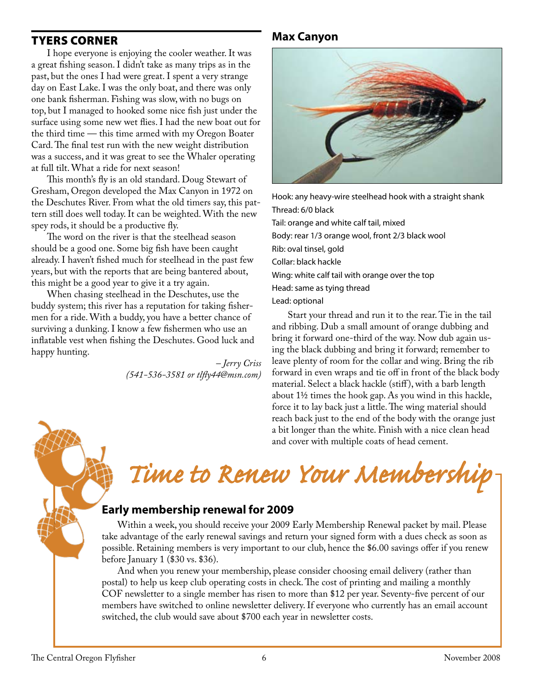## Tyers Corner

I hope everyone is enjoying the cooler weather. It was a great fishing season. I didn't take as many trips as in the past, but the ones I had were great. I spent a very strange day on East Lake. I was the only boat, and there was only one bank fisherman. Fishing was slow, with no bugs on top, but I managed to hooked some nice fish just under the surface using some new wet flies. I had the new boat out for the third time — this time armed with my Oregon Boater Card. The final test run with the new weight distribution was a success, and it was great to see the Whaler operating at full tilt. What a ride for next season!

This month's fly is an old standard. Doug Stewart of Gresham, Oregon developed the Max Canyon in 1972 on the Deschutes River. From what the old timers say, this pattern still does well today. It can be weighted. With the new spey rods, it should be a productive fly.

The word on the river is that the steelhead season should be a good one. Some big fish have been caught already. I haven't fished much for steelhead in the past few years, but with the reports that are being bantered about, this might be a good year to give it a try again.

When chasing steelhead in the Deschutes, use the buddy system; this river has a reputation for taking fishermen for a ride. With a buddy, you have a better chance of surviving a dunking. I know a few fishermen who use an inflatable vest when fishing the Deschutes. Good luck and happy hunting.

> *– Jerry Criss (541-536-3581 or tlfly44@msn.com)*

## **Max Canyon**



Hook: any heavy-wire steelhead hook with a straight shank Thread: 6/0 black Tail: orange and white calf tail, mixed Body: rear 1/3 orange wool, front 2/3 black wool Rib: oval tinsel, gold Collar: black hackle Wing: white calf tail with orange over the top Head: same as tying thread Lead: optional

Start your thread and run it to the rear. Tie in the tail and ribbing. Dub a small amount of orange dubbing and bring it forward one-third of the way. Now dub again using the black dubbing and bring it forward; remember to leave plenty of room for the collar and wing. Bring the rib forward in even wraps and tie off in front of the black body material. Select a black hackle (stiff ), with a barb length about 1½ times the hook gap. As you wind in this hackle, force it to lay back just a little. The wing material should reach back just to the end of the body with the orange just a bit longer than the white. Finish with a nice clean head and cover with multiple coats of head cement.

# *Time to Renew Your Membership*

## **Early membership renewal for 2009**

Within a week, you should receive your 2009 Early Membership Renewal packet by mail. Please take advantage of the early renewal savings and return your signed form with a dues check as soon as possible. Retaining members is very important to our club, hence the \$6.00 savings offer if you renew before January 1 (\$30 vs. \$36).

And when you renew your membership, please consider choosing email delivery (rather than postal) to help us keep club operating costs in check. The cost of printing and mailing a monthly COF newsletter to a single member has risen to more than \$12 per year. Seventy-five percent of our members have switched to online newsletter delivery. If everyone who currently has an email account switched, the club would save about \$700 each year in newsletter costs.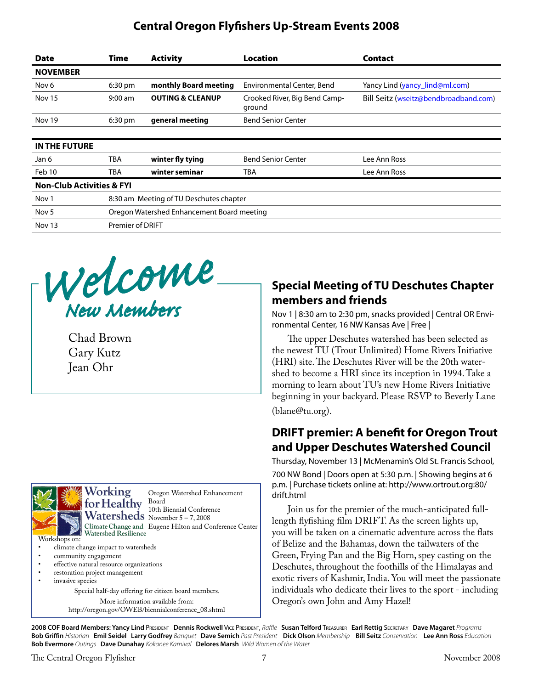## **Central Oregon Flyfishers Up-Stream Events 2008**

| <b>Date</b>                          | <b>Time</b>                                | <b>Activity</b>             | <b>Location</b>                         | <b>Contact</b>                        |
|--------------------------------------|--------------------------------------------|-----------------------------|-----------------------------------------|---------------------------------------|
| <b>NOVEMBER</b>                      |                                            |                             |                                         |                                       |
| Nov 6                                | $6:30$ pm                                  | monthly Board meeting       | Environmental Center, Bend              | Yancy Lind (yancy_lind@ml.com)        |
| <b>Nov 15</b>                        | $9:00$ am                                  | <b>OUTING &amp; CLEANUP</b> | Crooked River, Big Bend Camp-<br>ground | Bill Seitz (wseitz@bendbroadband.com) |
| Nov 19                               | 6:30 pm                                    | general meeting             | <b>Bend Senior Center</b>               |                                       |
| <b>IN THE FUTURE</b>                 |                                            |                             |                                         |                                       |
| Jan 6                                | <b>TBA</b>                                 | winter fly tying            | <b>Bend Senior Center</b>               | Lee Ann Ross                          |
| Feb 10                               | <b>TBA</b>                                 | winter seminar              | <b>TBA</b>                              | Lee Ann Ross                          |
| <b>Non-Club Activities &amp; FYI</b> |                                            |                             |                                         |                                       |
| Nov <sub>1</sub>                     | 8:30 am Meeting of TU Deschutes chapter    |                             |                                         |                                       |
| Nov <sub>5</sub>                     | Oregon Watershed Enhancement Board meeting |                             |                                         |                                       |
| Nov 13                               | <b>Premier of DRIFT</b>                    |                             |                                         |                                       |



Chad Brown Gary Kutz Jean Ohr



Oregon Watershed Enhancement Board<br>10th Biennial Conference 10th Biennial Conference November 5 – 7, 2008 Climate Change and Eugene Hilton and Conference Center

- climate change impact to watersheds
- community engagement
- effective natural resource organizations
- restoration project management invasive species

Special half-day offering for citizen board members. More information available from: http://oregon.gov/OWEB/biennialconference\_08.shtml

## **Special Meeting of TU Deschutes Chapter members and friends**

Nov 1 | 8:30 am to 2:30 pm, snacks provided | Central OR Environmental Center, 16 NW Kansas Ave | Free |

The upper Deschutes watershed has been selected as the newest TU (Trout Unlimited) Home Rivers Initiative (HRI) site. The Deschutes River will be the 20th watershed to become a HRI since its inception in 1994. Take a morning to learn about TU's new Home Rivers Initiative beginning in your backyard. Please RSVP to Beverly Lane (blane@tu.org).

## **DRIFT premier: A benefit for Oregon Trout and Upper Deschutes Watershed Council**

Thursday, November 13 | McMenamin's Old St. Francis School, 700 NW Bond | Doors open at 5:30 p.m. | Showing begins at 6 p.m. | Purchase tickets online at: http://www.ortrout.org:80/ drift.html

Join us for the premier of the much-anticipated fulllength flyfishing film DRIFT. As the screen lights up, you will be taken on a cinematic adventure across the flats of Belize and the Bahamas, down the tailwaters of the Green, Frying Pan and the Big Horn, spey casting on the Deschutes, throughout the foothills of the Himalayas and exotic rivers of Kashmir, India. You will meet the passionate individuals who dedicate their lives to the sport - including Oregon's own John and Amy Hazel!

**2008 COF Board Members: Yancy Lind** President **Dennis Rockwell** Vice President, *Raffle* **Susan Telford** Treasurer **Earl Rettig** Secretary **Dave Magaret** *Programs* Bob Griffin Historian Emil Seidel Larry Godfrey Banquet Dave Semich Past President Dick Olson Membership Bill Seitz Conservation Lee Ann Ross Education **Bob Evermore** *Outings* **Dave Dunahay** *Kokanee Karnival* **Delores Marsh** *Wild Women of the Water*